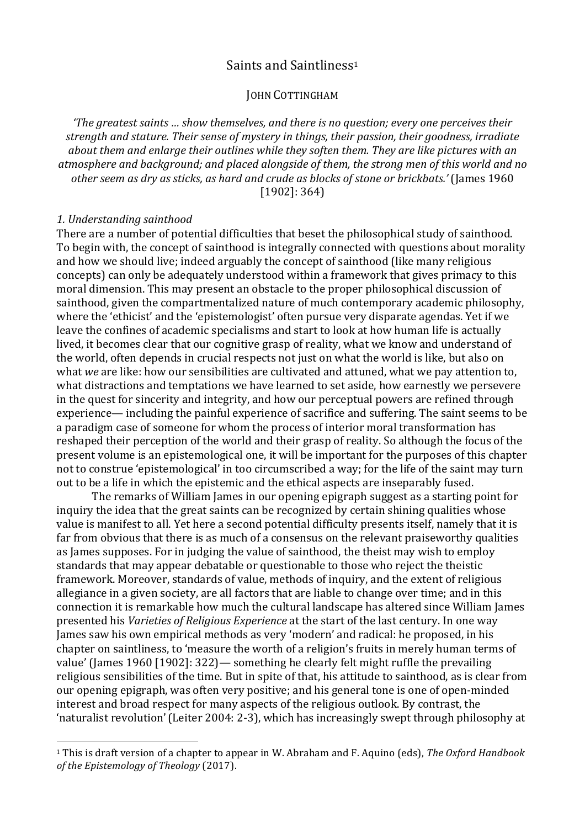# Saints and Saintliness<sup>1</sup>

# **JOHN COTTINGHAM**

*'The greatest saints ... show themselves, and there is no question; every one perceives their strength and stature. Their sense of mystery in things, their passion, their goodness, irradiate*  about them and enlarge their outlines while they soften them. They are like pictures with an atmosphere and background; and placed alongside of them, the strong men of this world and no other seem as dry as sticks, as hard and crude as blocks of stone or brickbats.' (James 1960)  $[1902]$ : 364)

#### *1. Understanding sainthood*

 

There are a number of potential difficulties that beset the philosophical study of sainthood. To begin with, the concept of sainthood is integrally connected with questions about morality and how we should live; indeed arguably the concept of sainthood (like many religious concepts) can only be adequately understood within a framework that gives primacy to this moral dimension. This may present an obstacle to the proper philosophical discussion of sainthood, given the compartmentalized nature of much contemporary academic philosophy, where the 'ethicist' and the 'epistemologist' often pursue very disparate agendas. Yet if we leave the confines of academic specialisms and start to look at how human life is actually lived, it becomes clear that our cognitive grasp of reality, what we know and understand of the world, often depends in crucial respects not just on what the world is like, but also on what *we* are like: how our sensibilities are cultivated and attuned, what we pay attention to, what distractions and temptations we have learned to set aside, how earnestly we persevere in the quest for sincerity and integrity, and how our perceptual powers are refined through experience— including the painful experience of sacrifice and suffering. The saint seems to be a paradigm case of someone for whom the process of interior moral transformation has reshaped their perception of the world and their grasp of reality. So although the focus of the present volume is an epistemological one, it will be important for the purposes of this chapter not to construe 'epistemological' in too circumscribed a way; for the life of the saint may turn out to be a life in which the epistemic and the ethical aspects are inseparably fused.

The remarks of William James in our opening epigraph suggest as a starting point for inquiry the idea that the great saints can be recognized by certain shining qualities whose value is manifest to all. Yet here a second potential difficulty presents itself, namely that it is far from obvious that there is as much of a consensus on the relevant praiseworthy qualities as James supposes. For in judging the value of sainthood, the theist may wish to employ standards that may appear debatable or questionable to those who reject the theistic framework. Moreover, standards of value, methods of inquiry, and the extent of religious allegiance in a given society, are all factors that are liable to change over time; and in this connection it is remarkable how much the cultural landscape has altered since William James presented his *Varieties of Religious Experience* at the start of the last century. In one way James saw his own empirical methods as very 'modern' and radical: he proposed, in his chapter on saintliness, to 'measure the worth of a religion's fruits in merely human terms of value' (James 1960 [1902]:  $322$ )— something he clearly felt might ruffle the prevailing religious sensibilities of the time. But in spite of that, his attitude to sainthood, as is clear from our opening epigraph, was often very positive; and his general tone is one of open-minded interest and broad respect for many aspects of the religious outlook. By contrast, the 'naturalist revolution' (Leiter 2004: 2-3), which has increasingly swept through philosophy at

<sup>&</sup>lt;sup>1</sup> This is draft version of a chapter to appear in W. Abraham and F. Aquino (eds), The Oxford Handbook *of the Epistemology of Theology* (2017).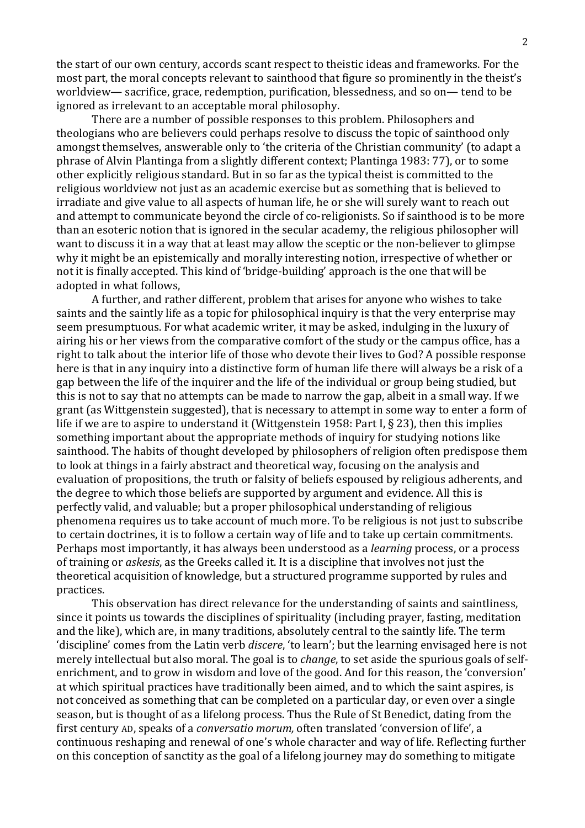the start of our own century, accords scant respect to theistic ideas and frameworks. For the most part, the moral concepts relevant to sainthood that figure so prominently in the theist's worldview— sacrifice, grace, redemption, purification, blessedness, and so on— tend to be ignored as irrelevant to an acceptable moral philosophy.

There are a number of possible responses to this problem. Philosophers and theologians who are believers could perhaps resolve to discuss the topic of sainthood only amongst themselves, answerable only to 'the criteria of the Christian community' (to adapt a phrase of Alvin Plantinga from a slightly different context; Plantinga 1983: 77), or to some other explicitly religious standard. But in so far as the typical theist is committed to the religious worldview not just as an academic exercise but as something that is believed to irradiate and give value to all aspects of human life, he or she will surely want to reach out and attempt to communicate beyond the circle of co-religionists. So if sainthood is to be more than an esoteric notion that is ignored in the secular academy, the religious philosopher will want to discuss it in a way that at least may allow the sceptic or the non-believer to glimpse why it might be an epistemically and morally interesting notion, irrespective of whether or not it is finally accepted. This kind of 'bridge-building' approach is the one that will be adopted in what follows.

A further, and rather different, problem that arises for anyone who wishes to take saints and the saintly life as a topic for philosophical inquiry is that the very enterprise may seem presumptuous. For what academic writer, it may be asked, indulging in the luxury of airing his or her views from the comparative comfort of the study or the campus office, has a right to talk about the interior life of those who devote their lives to God? A possible response here is that in any inquiry into a distinctive form of human life there will always be a risk of a gap between the life of the inquirer and the life of the individual or group being studied, but this is not to say that no attempts can be made to narrow the gap, albeit in a small way. If we grant (as Wittgenstein suggested), that is necessary to attempt in some way to enter a form of life if we are to aspire to understand it (Wittgenstein 1958: Part I,  $\S$  23), then this implies something important about the appropriate methods of inquiry for studying notions like sainthood. The habits of thought developed by philosophers of religion often predispose them to look at things in a fairly abstract and theoretical way, focusing on the analysis and evaluation of propositions, the truth or falsity of beliefs espoused by religious adherents, and the degree to which those beliefs are supported by argument and evidence. All this is perfectly valid, and valuable; but a proper philosophical understanding of religious phenomena requires us to take account of much more. To be religious is not just to subscribe to certain doctrines, it is to follow a certain way of life and to take up certain commitments. Perhaps most importantly, it has always been understood as a *learning* process, or a process of training or *askesis*, as the Greeks called it. It is a discipline that involves not just the theoretical acquisition of knowledge, but a structured programme supported by rules and practices. 

This observation has direct relevance for the understanding of saints and saintliness, since it points us towards the disciplines of spirituality (including prayer, fasting, meditation and the like), which are, in many traditions, absolutely central to the saintly life. The term 'discipline' comes from the Latin verb *discere*, 'to learn'; but the learning envisaged here is not merely intellectual but also moral. The goal is to *change*, to set aside the spurious goals of selfenrichment, and to grow in wisdom and love of the good. And for this reason, the 'conversion' at which spiritual practices have traditionally been aimed, and to which the saint aspires, is not conceived as something that can be completed on a particular day, or even over a single season, but is thought of as a lifelong process. Thus the Rule of St Benedict, dating from the first century AD, speaks of a *conversatio morum*, often translated 'conversion of life', a continuous reshaping and renewal of one's whole character and way of life. Reflecting further on this conception of sanctity as the goal of a lifelong journey may do something to mitigate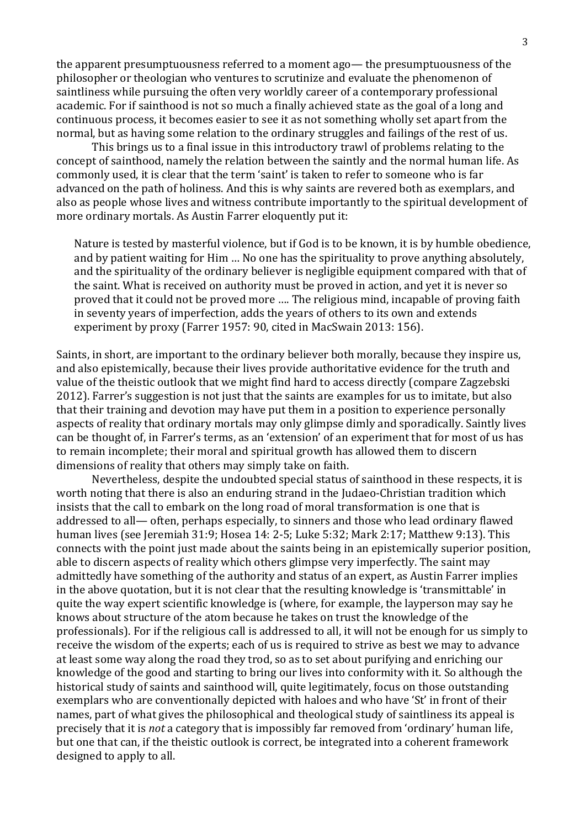the apparent presumptuousness referred to a moment ago— the presumptuousness of the philosopher or theologian who ventures to scrutinize and evaluate the phenomenon of saintliness while pursuing the often very worldly career of a contemporary professional academic. For if sainthood is not so much a finally achieved state as the goal of a long and continuous process, it becomes easier to see it as not something wholly set apart from the normal, but as having some relation to the ordinary struggles and failings of the rest of us.

This brings us to a final issue in this introductory trawl of problems relating to the concept of sainthood, namely the relation between the saintly and the normal human life. As commonly used, it is clear that the term 'saint' is taken to refer to someone who is far advanced on the path of holiness. And this is why saints are revered both as exemplars, and also as people whose lives and witness contribute importantly to the spiritual development of more ordinary mortals. As Austin Farrer eloquently put it:

Nature is tested by masterful violence, but if God is to be known, it is by humble obedience, and by patient waiting for Him ... No one has the spirituality to prove anything absolutely, and the spirituality of the ordinary believer is negligible equipment compared with that of the saint. What is received on authority must be proved in action, and yet it is never so proved that it could not be proved more .... The religious mind, incapable of proving faith in seventy years of imperfection, adds the years of others to its own and extends experiment by proxy (Farrer 1957: 90, cited in MacSwain 2013: 156).

Saints, in short, are important to the ordinary believer both morally, because they inspire us, and also epistemically, because their lives provide authoritative evidence for the truth and value of the theistic outlook that we might find hard to access directly (compare Zagzebski 2012). Farrer's suggestion is not just that the saints are examples for us to imitate, but also that their training and devotion may have put them in a position to experience personally aspects of reality that ordinary mortals may only glimpse dimly and sporadically. Saintly lives can be thought of, in Farrer's terms, as an 'extension' of an experiment that for most of us has to remain incomplete; their moral and spiritual growth has allowed them to discern dimensions of reality that others may simply take on faith.

Nevertheless, despite the undoubted special status of sainthood in these respects, it is worth noting that there is also an enduring strand in the Judaeo-Christian tradition which insists that the call to embark on the long road of moral transformation is one that is addressed to all— often, perhaps especially, to sinners and those who lead ordinary flawed human lives (see Jeremiah  $31:9$ ; Hosea  $14:2-5$ ; Luke  $5:32$ ; Mark  $2:17$ ; Matthew  $9:13$ ). This connects with the point just made about the saints being in an epistemically superior position, able to discern aspects of reality which others glimpse very imperfectly. The saint may admittedly have something of the authority and status of an expert, as Austin Farrer implies in the above quotation, but it is not clear that the resulting knowledge is 'transmittable' in quite the way expert scientific knowledge is (where, for example, the layperson may say he knows about structure of the atom because he takes on trust the knowledge of the professionals). For if the religious call is addressed to all, it will not be enough for us simply to receive the wisdom of the experts; each of us is required to strive as best we may to advance at least some way along the road they trod, so as to set about purifying and enriching our knowledge of the good and starting to bring our lives into conformity with it. So although the historical study of saints and sainthood will, quite legitimately, focus on those outstanding exemplars who are conventionally depicted with haloes and who have 'St' in front of their names, part of what gives the philosophical and theological study of saintliness its appeal is precisely that it is *not* a category that is impossibly far removed from 'ordinary' human life, but one that can, if the theistic outlook is correct, be integrated into a coherent framework designed to apply to all.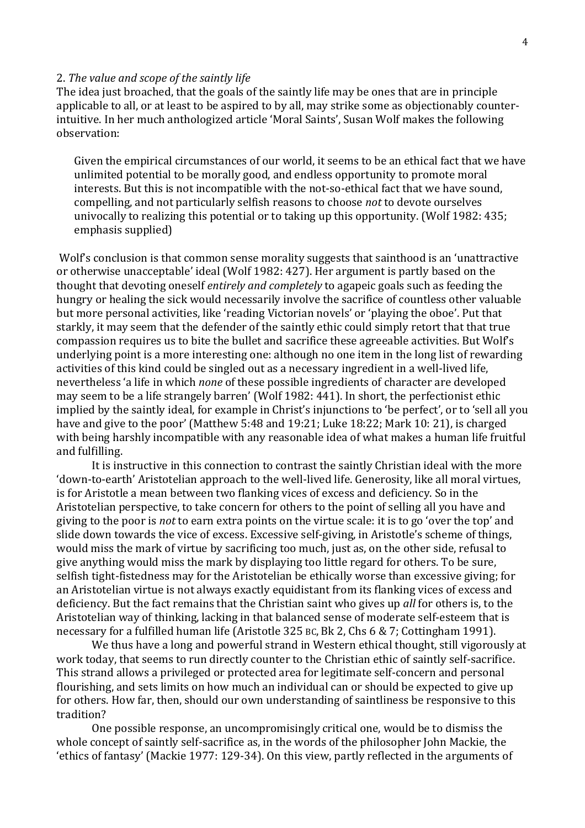#### 2. The value and scope of the saintly life

The idea just broached, that the goals of the saintly life may be ones that are in principle applicable to all, or at least to be aspired to by all, may strike some as objectionably counterintuitive. In her much anthologized article 'Moral Saints', Susan Wolf makes the following observation:

Given the empirical circumstances of our world, it seems to be an ethical fact that we have unlimited potential to be morally good, and endless opportunity to promote moral interests. But this is not incompatible with the not-so-ethical fact that we have sound, compelling, and not particularly selfish reasons to choose *not* to devote ourselves univocally to realizing this potential or to taking up this opportunity. (Wolf 1982:  $435$ ; emphasis supplied)

Wolf's conclusion is that common sense morality suggests that sainthood is an 'unattractive or otherwise unacceptable' ideal (Wolf 1982: 427). Her argument is partly based on the thought that devoting oneself *entirely and completely* to agapeic goals such as feeding the hungry or healing the sick would necessarily involve the sacrifice of countless other valuable but more personal activities, like 'reading Victorian novels' or 'playing the oboe'. Put that starkly, it may seem that the defender of the saintly ethic could simply retort that that true compassion requires us to bite the bullet and sacrifice these agreeable activities. But Wolf's underlying point is a more interesting one: although no one item in the long list of rewarding activities of this kind could be singled out as a necessary ingredient in a well-lived life, nevertheless 'a life in which *none* of these possible ingredients of character are developed may seem to be a life strangely barren' (Wolf 1982: 441). In short, the perfectionist ethic implied by the saintly ideal, for example in Christ's injunctions to 'be perfect', or to 'sell all you have and give to the poor' (Matthew 5:48 and 19:21; Luke 18:22; Mark 10: 21), is charged with being harshly incompatible with any reasonable idea of what makes a human life fruitful and fulfilling.

It is instructive in this connection to contrast the saintly Christian ideal with the more 'down-to-earth' Aristotelian approach to the well-lived life. Generosity, like all moral virtues, is for Aristotle a mean between two flanking vices of excess and deficiency. So in the Aristotelian perspective, to take concern for others to the point of selling all you have and giving to the poor is *not* to earn extra points on the virtue scale: it is to go 'over the top' and slide down towards the vice of excess. Excessive self-giving, in Aristotle's scheme of things, would miss the mark of virtue by sacrificing too much, just as, on the other side, refusal to give anything would miss the mark by displaying too little regard for others. To be sure, selfish tight-fistedness may for the Aristotelian be ethically worse than excessive giving; for an Aristotelian virtue is not always exactly equidistant from its flanking vices of excess and deficiency. But the fact remains that the Christian saint who gives up *all* for others is, to the Aristotelian way of thinking, lacking in that balanced sense of moderate self-esteem that is necessary for a fulfilled human life (Aristotle 325 BC, Bk 2, Chs 6 & 7; Cottingham 1991).

We thus have a long and powerful strand in Western ethical thought, still vigorously at work today, that seems to run directly counter to the Christian ethic of saintly self-sacrifice. This strand allows a privileged or protected area for legitimate self-concern and personal flourishing, and sets limits on how much an individual can or should be expected to give up for others. How far, then, should our own understanding of saintliness be responsive to this tradition?

One possible response, an uncompromisingly critical one, would be to dismiss the whole concept of saintly self-sacrifice as, in the words of the philosopher John Mackie, the 'ethics of fantasy' (Mackie 1977: 129-34). On this view, partly reflected in the arguments of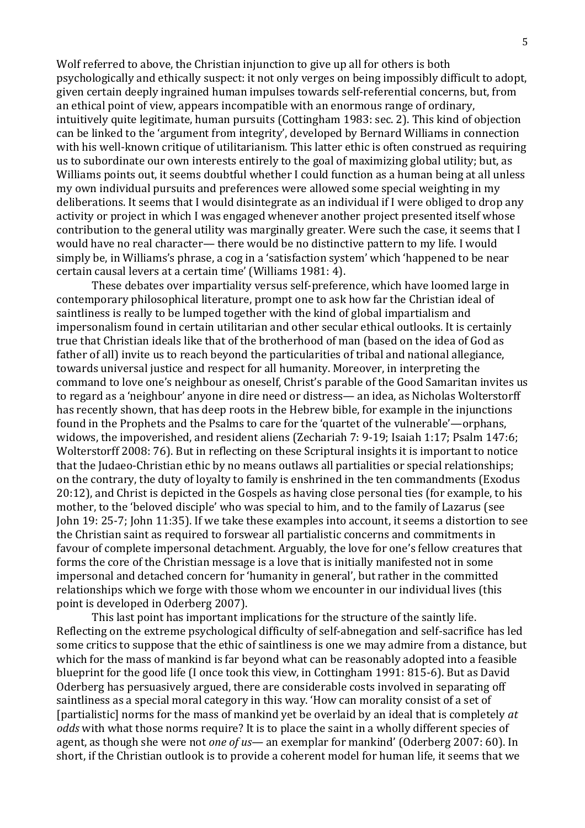Wolf referred to above, the Christian injunction to give up all for others is both psychologically and ethically suspect: it not only verges on being impossibly difficult to adopt, given certain deeply ingrained human impulses towards self-referential concerns, but, from an ethical point of view, appears incompatible with an enormous range of ordinary, intuitively quite legitimate, human pursuits (Cottingham 1983: sec. 2). This kind of objection can be linked to the 'argument from integrity', developed by Bernard Williams in connection with his well-known critique of utilitarianism. This latter ethic is often construed as requiring us to subordinate our own interests entirely to the goal of maximizing global utility; but, as Williams points out, it seems doubtful whether I could function as a human being at all unless my own individual pursuits and preferences were allowed some special weighting in my deliberations. It seems that I would disintegrate as an individual if I were obliged to drop any activity or project in which I was engaged whenever another project presented itself whose contribution to the general utility was marginally greater. Were such the case, it seems that I would have no real character— there would be no distinctive pattern to my life. I would simply be, in Williams's phrase, a cog in a 'satisfaction system' which 'happened to be near certain causal levers at a certain time' (Williams 1981: 4).

These debates over impartiality versus self-preference, which have loomed large in contemporary philosophical literature, prompt one to ask how far the Christian ideal of saintliness is really to be lumped together with the kind of global impartialism and impersonalism found in certain utilitarian and other secular ethical outlooks. It is certainly true that Christian ideals like that of the brotherhood of man (based on the idea of God as father of all) invite us to reach beyond the particularities of tribal and national allegiance, towards universal justice and respect for all humanity. Moreover, in interpreting the command to love one's neighbour as oneself, Christ's parable of the Good Samaritan invites us to regard as a 'neighbour' anyone in dire need or distress— an idea, as Nicholas Wolterstorff has recently shown, that has deep roots in the Hebrew bible, for example in the injunctions found in the Prophets and the Psalms to care for the 'quartet of the vulnerable'—orphans, widows, the impoverished, and resident aliens (Zechariah  $7: 9-19$ ; Isaiah 1:17; Psalm 147:6; Wolterstorff 2008: 76). But in reflecting on these Scriptural insights it is important to notice that the Judaeo-Christian ethic by no means outlaws all partialities or special relationships; on the contrary, the duty of loyalty to family is enshrined in the ten commandments (Exodus 20:12), and Christ is depicted in the Gospels as having close personal ties (for example, to his mother, to the 'beloved disciple' who was special to him, and to the family of Lazarus (see John 19: 25-7; John 11:35). If we take these examples into account, it seems a distortion to see the Christian saint as required to forswear all partialistic concerns and commitments in favour of complete impersonal detachment. Arguably, the love for one's fellow creatures that forms the core of the Christian message is a love that is initially manifested not in some impersonal and detached concern for 'humanity in general', but rather in the committed relationships which we forge with those whom we encounter in our individual lives (this point is developed in Oderberg 2007).

This last point has important implications for the structure of the saintly life. Reflecting on the extreme psychological difficulty of self-abnegation and self-sacrifice has led some critics to suppose that the ethic of saintliness is one we may admire from a distance, but which for the mass of mankind is far beyond what can be reasonably adopted into a feasible blueprint for the good life (I once took this view, in Cottingham 1991: 815-6). But as David Oderberg has persuasively argued, there are considerable costs involved in separating off saintliness as a special moral category in this way. 'How can morality consist of a set of [partialistic] norms for the mass of mankind yet be overlaid by an ideal that is completely at *odds* with what those norms require? It is to place the saint in a wholly different species of agent, as though she were not *one of us*— an exemplar for mankind' (Oderberg 2007: 60). In short, if the Christian outlook is to provide a coherent model for human life, it seems that we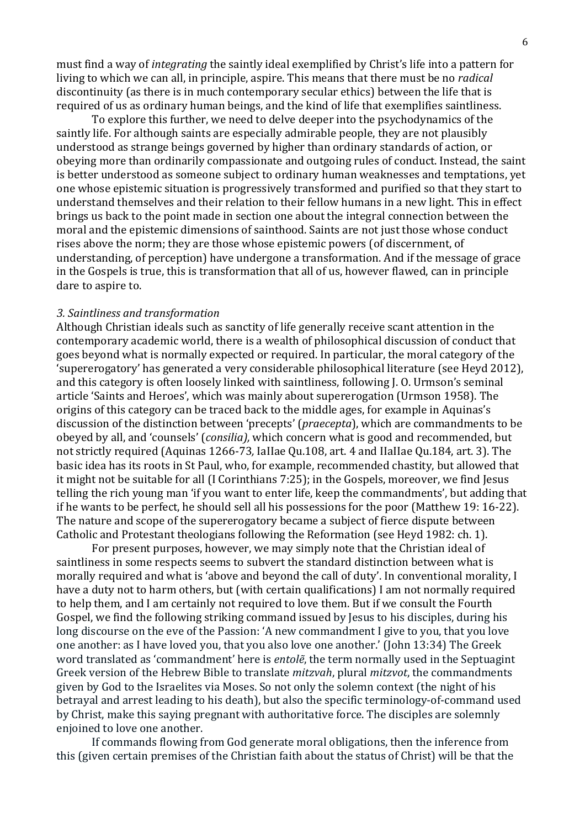must find a way of *integrating* the saintly ideal exemplified by Christ's life into a pattern for living to which we can all, in principle, aspire. This means that there must be no *radical* discontinuity (as there is in much contemporary secular ethics) between the life that is required of us as ordinary human beings, and the kind of life that exemplifies saintliness.

To explore this further, we need to delve deeper into the psychodynamics of the saintly life. For although saints are especially admirable people, they are not plausibly understood as strange beings governed by higher than ordinary standards of action, or obeying more than ordinarily compassionate and outgoing rules of conduct. Instead, the saint is better understood as someone subject to ordinary human weaknesses and temptations, yet one whose epistemic situation is progressively transformed and purified so that they start to understand themselves and their relation to their fellow humans in a new light. This in effect brings us back to the point made in section one about the integral connection between the moral and the epistemic dimensions of sainthood. Saints are not just those whose conduct rises above the norm; they are those whose epistemic powers (of discernment, of understanding, of perception) have undergone a transformation. And if the message of grace in the Gospels is true, this is transformation that all of us, however flawed, can in principle dare to aspire to.

#### *3. Saintliness and transformation*

Although Christian ideals such as sanctity of life generally receive scant attention in the contemporary academic world, there is a wealth of philosophical discussion of conduct that goes beyond what is normally expected or required. In particular, the moral category of the 'supererogatory' has generated a very considerable philosophical literature (see Heyd 2012), and this category is often loosely linked with saintliness, following J. O. Urmson's seminal article 'Saints and Heroes', which was mainly about supererogation (Urmson 1958). The origins of this category can be traced back to the middle ages, for example in Aquinas's discussion of the distinction between 'precepts' (*praecepta*), which are commandments to be obeyed by all, and 'counsels' (*consilia*), which concern what is good and recommended, but not strictly required (Aquinas 1266-73, IaIIae Qu.108, art. 4 and IIaIIae Qu.184, art. 3). The basic idea has its roots in St Paul, who, for example, recommended chastity, but allowed that it might not be suitable for all (I Corinthians 7:25); in the Gospels, moreover, we find Jesus telling the rich young man 'if you want to enter life, keep the commandments', but adding that if he wants to be perfect, he should sell all his possessions for the poor (Matthew 19: 16-22). The nature and scope of the supererogatory became a subject of fierce dispute between Catholic and Protestant theologians following the Reformation (see Heyd 1982: ch. 1).

For present purposes, however, we may simply note that the Christian ideal of saintliness in some respects seems to subvert the standard distinction between what is morally required and what is 'above and beyond the call of duty'. In conventional morality, I have a duty not to harm others, but (with certain qualifications) I am not normally required to help them, and I am certainly not required to love them. But if we consult the Fourth Gospel, we find the following striking command issued by Jesus to his disciples, during his long discourse on the eve of the Passion: 'A new commandment I give to you, that you love one another: as I have loved you, that you also love one another.' (John 13:34) The Greek word translated as 'commandment' here is *entolẽ*, the term normally used in the Septuagint Greek version of the Hebrew Bible to translate *mitzvah*, plural *mitzvot*, the commandments given by God to the Israelites via Moses. So not only the solemn context (the night of his betrayal and arrest leading to his death), but also the specific terminology-of-command used by Christ, make this saying pregnant with authoritative force. The disciples are solemnly enioined to love one another.

If commands flowing from God generate moral obligations, then the inference from this (given certain premises of the Christian faith about the status of Christ) will be that the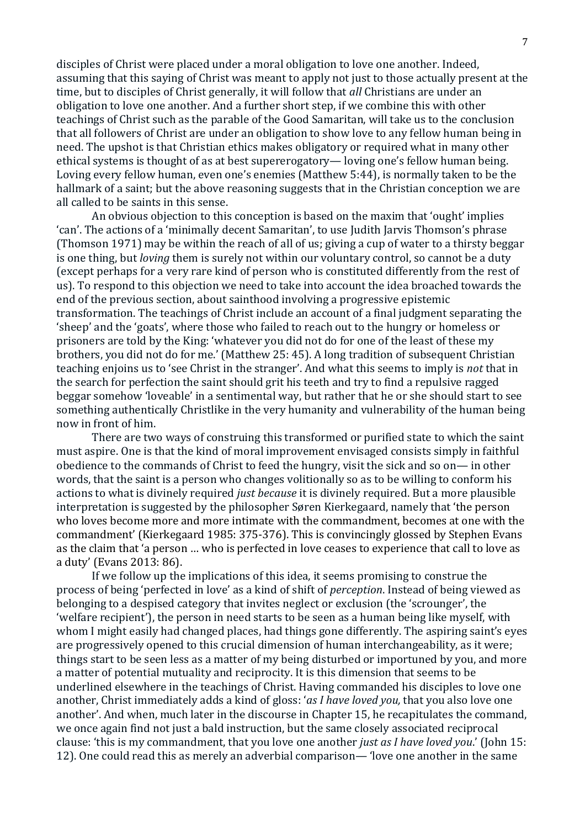disciples of Christ were placed under a moral obligation to love one another. Indeed, assuming that this saying of Christ was meant to apply not just to those actually present at the time, but to disciples of Christ generally, it will follow that *all* Christians are under an obligation to love one another. And a further short step, if we combine this with other teachings of Christ such as the parable of the Good Samaritan, will take us to the conclusion that all followers of Christ are under an obligation to show love to any fellow human being in need. The upshot is that Christian ethics makes obligatory or required what in many other ethical systems is thought of as at best supererogatory— loving one's fellow human being. Loving every fellow human, even one's enemies (Matthew 5:44), is normally taken to be the hallmark of a saint; but the above reasoning suggests that in the Christian conception we are all called to be saints in this sense.

An obvious objection to this conception is based on the maxim that 'ought' implies 'can'. The actions of a 'minimally decent Samaritan', to use Judith Jarvis Thomson's phrase (Thomson 1971) may be within the reach of all of us; giving a cup of water to a thirsty beggar is one thing, but *loving* them is surely not within our voluntary control, so cannot be a duty (except perhaps for a very rare kind of person who is constituted differently from the rest of us). To respond to this objection we need to take into account the idea broached towards the end of the previous section, about sainthood involving a progressive epistemic transformation. The teachings of Christ include an account of a final judgment separating the 'sheep' and the 'goats', where those who failed to reach out to the hungry or homeless or prisoners are told by the King: 'whatever you did not do for one of the least of these my brothers, you did not do for me.' (Matthew 25: 45). A long tradition of subsequent Christian teaching enjoins us to 'see Christ in the stranger'. And what this seems to imply is *not* that in the search for perfection the saint should grit his teeth and try to find a repulsive ragged beggar somehow 'loveable' in a sentimental way, but rather that he or she should start to see something authentically Christlike in the very humanity and vulnerability of the human being now in front of him.

There are two ways of construing this transformed or purified state to which the saint must aspire. One is that the kind of moral improvement envisaged consists simply in faithful obedience to the commands of Christ to feed the hungry, visit the sick and so on— in other words, that the saint is a person who changes volitionally so as to be willing to conform his actions to what is divinely required *just because* it is divinely required. But a more plausible interpretation is suggested by the philosopher Søren Kierkegaard, namely that 'the person who loves become more and more intimate with the commandment, becomes at one with the commandment' (Kierkegaard 1985: 375-376). This is convincingly glossed by Stephen Evans as the claim that 'a person ... who is perfected in love ceases to experience that call to love as a duty' (Evans 2013: 86).

If we follow up the implications of this idea, it seems promising to construe the process of being 'perfected in love' as a kind of shift of *perception*. Instead of being viewed as belonging to a despised category that invites neglect or exclusion (the 'scrounger', the 'welfare recipient'), the person in need starts to be seen as a human being like myself, with whom I might easily had changed places, had things gone differently. The aspiring saint's eves are progressively opened to this crucial dimension of human interchangeability, as it were; things start to be seen less as a matter of my being disturbed or importuned by you, and more a matter of potential mutuality and reciprocity. It is this dimension that seems to be underlined elsewhere in the teachings of Christ. Having commanded his disciples to love one another, Christ immediately adds a kind of gloss: '*as I have loved you*, that you also love one another'. And when, much later in the discourse in Chapter 15, he recapitulates the command, we once again find not just a bald instruction, but the same closely associated reciprocal clause: 'this is my commandment, that you love one another *just as I have loved you*.' (John 15: 12). One could read this as merely an adverbial comparison— 'love one another in the same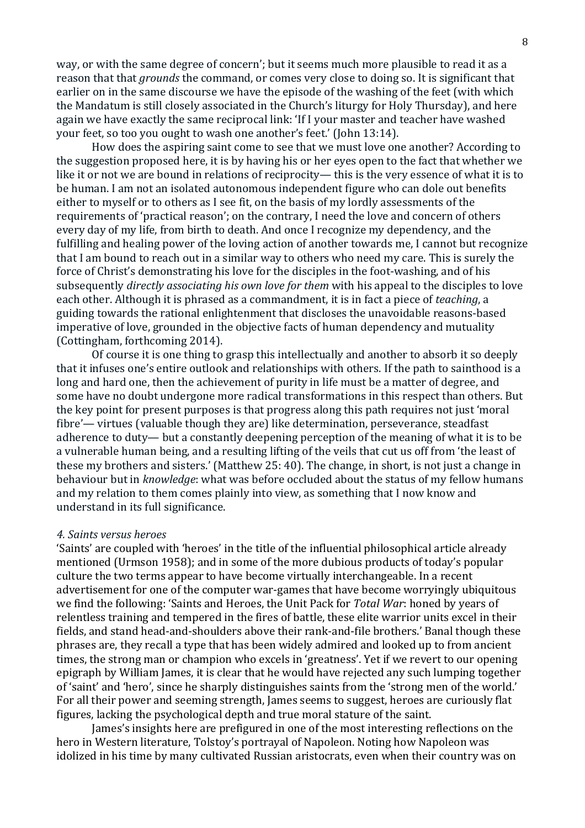way, or with the same degree of concern'; but it seems much more plausible to read it as a reason that that *grounds* the command, or comes very close to doing so. It is significant that earlier on in the same discourse we have the episode of the washing of the feet (with which the Mandatum is still closely associated in the Church's liturgy for Holy Thursday), and here again we have exactly the same reciprocal link: 'If I your master and teacher have washed your feet, so too you ought to wash one another's feet.' (John 13:14).

How does the aspiring saint come to see that we must love one another? According to the suggestion proposed here, it is by having his or her eyes open to the fact that whether we like it or not we are bound in relations of reciprocity— this is the very essence of what it is to be human. I am not an isolated autonomous independent figure who can dole out benefits either to myself or to others as I see fit, on the basis of my lordly assessments of the requirements of 'practical reason'; on the contrary, I need the love and concern of others every day of my life, from birth to death. And once I recognize my dependency, and the fulfilling and healing power of the loving action of another towards me, I cannot but recognize that I am bound to reach out in a similar way to others who need my care. This is surely the force of Christ's demonstrating his love for the disciples in the foot-washing, and of his subsequently *directly associating his own love for them* with his appeal to the disciples to love each other. Although it is phrased as a commandment, it is in fact a piece of *teaching*, a guiding towards the rational enlightenment that discloses the unavoidable reasons-based imperative of love, grounded in the objective facts of human dependency and mutuality (Cottingham, forthcoming 2014).

Of course it is one thing to grasp this intellectually and another to absorb it so deeply that it infuses one's entire outlook and relationships with others. If the path to sainthood is a long and hard one, then the achievement of purity in life must be a matter of degree, and some have no doubt undergone more radical transformations in this respect than others. But the key point for present purposes is that progress along this path requires not just 'moral fibre'— virtues (valuable though they are) like determination, perseverance, steadfast adherence to duty— but a constantly deepening perception of the meaning of what it is to be a vulnerable human being, and a resulting lifting of the veils that cut us off from 'the least of these my brothers and sisters.' (Matthew 25: 40). The change, in short, is not just a change in behaviour but in *knowledge*: what was before occluded about the status of my fellow humans and my relation to them comes plainly into view, as something that I now know and understand in its full significance.

### *4. Saints versus heroes*

'Saints' are coupled with 'heroes' in the title of the influential philosophical article already mentioned (Urmson 1958); and in some of the more dubious products of today's popular culture the two terms appear to have become virtually interchangeable. In a recent advertisement for one of the computer war-games that have become worryingly ubiquitous we find the following: 'Saints and Heroes, the Unit Pack for *Total War*: honed by years of relentless training and tempered in the fires of battle, these elite warrior units excel in their fields, and stand head-and-shoulders above their rank-and-file brothers.' Banal though these phrases are, they recall a type that has been widely admired and looked up to from ancient times, the strong man or champion who excels in 'greatness'. Yet if we revert to our opening epigraph by William James, it is clear that he would have rejected any such lumping together of 'saint' and 'hero', since he sharply distinguishes saints from the 'strong men of the world.' For all their power and seeming strength, James seems to suggest, heroes are curiously flat figures, lacking the psychological depth and true moral stature of the saint.

James's insights here are prefigured in one of the most interesting reflections on the hero in Western literature, Tolstoy's portrayal of Napoleon. Noting how Napoleon was idolized in his time by many cultivated Russian aristocrats, even when their country was on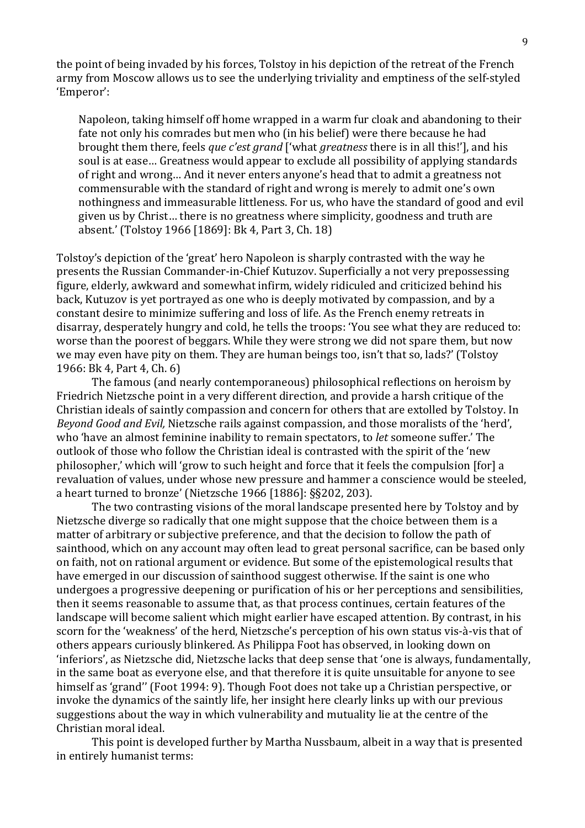the point of being invaded by his forces, Tolstoy in his depiction of the retreat of the French army from Moscow allows us to see the underlying triviality and emptiness of the self-styled 'Emperor':

Napoleon, taking himself off home wrapped in a warm fur cloak and abandoning to their fate not only his comrades but men who (in his belief) were there because he had brought them there, feels *que c'est grand* ['what *greatness* there is in all this!'], and his soul is at ease... Greatness would appear to exclude all possibility of applying standards of right and wrong... And it never enters anyone's head that to admit a greatness not commensurable with the standard of right and wrong is merely to admit one's own nothingness and immeasurable littleness. For us, who have the standard of good and evil given us by Christ... there is no greatness where simplicity, goodness and truth are absent.' (Tolstoy 1966 [1869]: Bk 4, Part 3, Ch. 18)

Tolstoy's depiction of the 'great' hero Napoleon is sharply contrasted with the way he presents the Russian Commander-in-Chief Kutuzov. Superficially a not very prepossessing figure, elderly, awkward and somewhat infirm, widely ridiculed and criticized behind his back, Kutuzov is vet portraved as one who is deeply motivated by compassion, and by a constant desire to minimize suffering and loss of life. As the French enemy retreats in disarray, desperately hungry and cold, he tells the troops: 'You see what they are reduced to: worse than the poorest of beggars. While they were strong we did not spare them, but now we may even have pity on them. They are human beings too, isn't that so, lads?' (Tolstoy 1966: Bk 4, Part 4, Ch. 6)

The famous (and nearly contemporaneous) philosophical reflections on heroism by Friedrich Nietzsche point in a very different direction, and provide a harsh critique of the Christian ideals of saintly compassion and concern for others that are extolled by Tolstoy. In *Beyond Good and Evil*, Nietzsche rails against compassion, and those moralists of the 'herd', who 'have an almost feminine inability to remain spectators, to *let* someone suffer.' The outlook of those who follow the Christian ideal is contrasted with the spirit of the 'new philosopher,' which will 'grow to such height and force that it feels the compulsion [for] a revaluation of values, under whose new pressure and hammer a conscience would be steeled, a heart turned to bronze' (Nietzsche 1966 [1886]:  $\S$ §202, 203).

The two contrasting visions of the moral landscape presented here by Tolstoy and by Nietzsche diverge so radically that one might suppose that the choice between them is a matter of arbitrary or subjective preference, and that the decision to follow the path of sainthood, which on any account may often lead to great personal sacrifice, can be based only on faith, not on rational argument or evidence. But some of the epistemological results that have emerged in our discussion of sainthood suggest otherwise. If the saint is one who undergoes a progressive deepening or purification of his or her perceptions and sensibilities, then it seems reasonable to assume that, as that process continues, certain features of the landscape will become salient which might earlier have escaped attention. By contrast, in his scorn for the 'weakness' of the herd. Nietzsche's perception of his own status vis-à-vis that of others appears curiously blinkered. As Philippa Foot has observed, in looking down on 'inferiors', as Nietzsche did, Nietzsche lacks that deep sense that 'one is always, fundamentally, in the same boat as everyone else, and that therefore it is quite unsuitable for anyone to see himself as 'grand'' (Foot 1994: 9). Though Foot does not take up a Christian perspective, or invoke the dynamics of the saintly life, her insight here clearly links up with our previous suggestions about the way in which vulnerability and mutuality lie at the centre of the Christian moral ideal.

This point is developed further by Martha Nussbaum, albeit in a way that is presented in entirely humanist terms: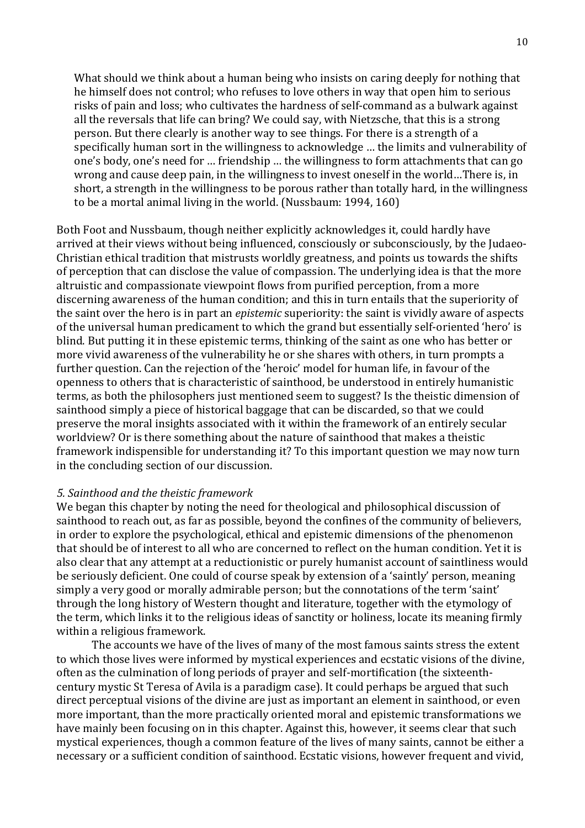What should we think about a human being who insists on caring deeply for nothing that he himself does not control; who refuses to love others in way that open him to serious risks of pain and loss; who cultivates the hardness of self-command as a bulwark against all the reversals that life can bring? We could say, with Nietzsche, that this is a strong person. But there clearly is another way to see things. For there is a strength of a specifically human sort in the willingness to acknowledge ... the limits and vulnerability of one's body, one's need for ... friendship ... the willingness to form attachments that can go wrong and cause deep pain, in the willingness to invest oneself in the world...There is, in short, a strength in the willingness to be porous rather than totally hard, in the willingness to be a mortal animal living in the world. (Nussbaum:  $1994, 160$ )

Both Foot and Nussbaum, though neither explicitly acknowledges it, could hardly have arrived at their views without being influenced, consciously or subconsciously, by the Judaeo-Christian ethical tradition that mistrusts worldly greatness, and points us towards the shifts of perception that can disclose the value of compassion. The underlying idea is that the more altruistic and compassionate viewpoint flows from purified perception, from a more discerning awareness of the human condition; and this in turn entails that the superiority of the saint over the hero is in part an *epistemic* superiority: the saint is vividly aware of aspects of the universal human predicament to which the grand but essentially self-oriented 'hero' is blind. But putting it in these epistemic terms, thinking of the saint as one who has better or more vivid awareness of the vulnerability he or she shares with others, in turn prompts a further question. Can the rejection of the 'heroic' model for human life, in favour of the openness to others that is characteristic of sainthood, be understood in entirely humanistic terms, as both the philosophers just mentioned seem to suggest? Is the theistic dimension of sainthood simply a piece of historical baggage that can be discarded, so that we could preserve the moral insights associated with it within the framework of an entirely secular worldview? Or is there something about the nature of sainthood that makes a theistic framework indispensible for understanding it? To this important question we may now turn in the concluding section of our discussion.

# *5. Sainthood and the theistic framework*

We began this chapter by noting the need for theological and philosophical discussion of sainthood to reach out, as far as possible, beyond the confines of the community of believers, in order to explore the psychological, ethical and epistemic dimensions of the phenomenon that should be of interest to all who are concerned to reflect on the human condition. Yet it is also clear that any attempt at a reductionistic or purely humanist account of saintliness would be seriously deficient. One could of course speak by extension of a 'saintly' person, meaning simply a very good or morally admirable person; but the connotations of the term 'saint' through the long history of Western thought and literature, together with the etymology of the term, which links it to the religious ideas of sanctity or holiness, locate its meaning firmly within a religious framework.

The accounts we have of the lives of many of the most famous saints stress the extent to which those lives were informed by mystical experiences and ecstatic visions of the divine, often as the culmination of long periods of prayer and self-mortification (the sixteenthcentury mystic St Teresa of Avila is a paradigm case). It could perhaps be argued that such direct perceptual visions of the divine are just as important an element in sainthood, or even more important, than the more practically oriented moral and epistemic transformations we have mainly been focusing on in this chapter. Against this, however, it seems clear that such mystical experiences, though a common feature of the lives of many saints, cannot be either a necessary or a sufficient condition of sainthood. Ecstatic visions, however frequent and vivid,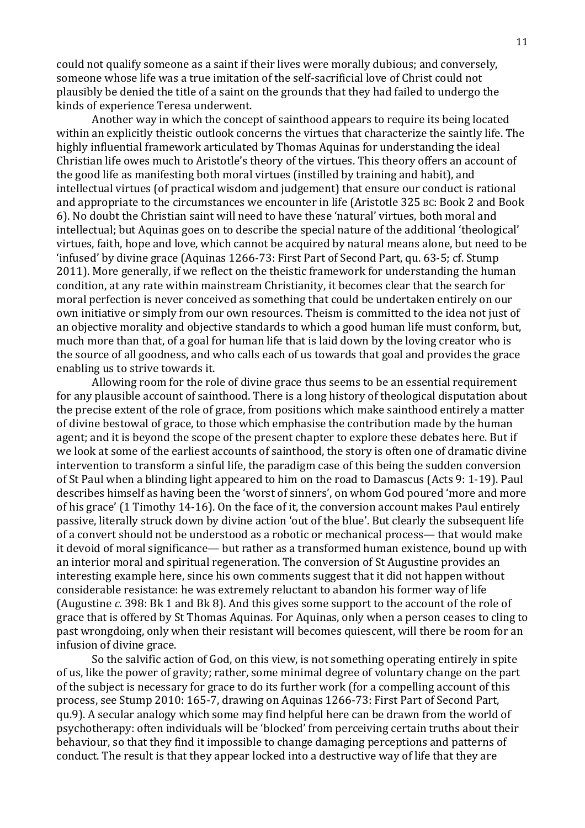could not qualify someone as a saint if their lives were morally dubious; and conversely, someone whose life was a true imitation of the self-sacrificial love of Christ could not plausibly be denied the title of a saint on the grounds that they had failed to undergo the kinds of experience Teresa underwent.

Another way in which the concept of sainthood appears to require its being located within an explicitly theistic outlook concerns the virtues that characterize the saintly life. The highly influential framework articulated by Thomas Aquinas for understanding the ideal Christian life owes much to Aristotle's theory of the virtues. This theory offers an account of the good life as manifesting both moral virtues (instilled by training and habit), and intellectual virtues (of practical wisdom and judgement) that ensure our conduct is rational and appropriate to the circumstances we encounter in life (Aristotle 325 BC: Book 2 and Book 6). No doubt the Christian saint will need to have these 'natural' virtues, both moral and intellectual; but Aquinas goes on to describe the special nature of the additional 'theological' virtues, faith, hope and love, which cannot be acquired by natural means alone, but need to be 'infused' by divine grace (Aquinas 1266-73: First Part of Second Part, qu. 63-5; cf. Stump 2011). More generally, if we reflect on the theistic framework for understanding the human condition, at any rate within mainstream Christianity, it becomes clear that the search for moral perfection is never conceived as something that could be undertaken entirely on our own initiative or simply from our own resources. Theism is committed to the idea not just of an objective morality and objective standards to which a good human life must conform, but, much more than that, of a goal for human life that is laid down by the loving creator who is the source of all goodness, and who calls each of us towards that goal and provides the grace enabling us to strive towards it.

Allowing room for the role of divine grace thus seems to be an essential requirement for any plausible account of sainthood. There is a long history of theological disputation about the precise extent of the role of grace, from positions which make sainthood entirely a matter of divine bestowal of grace, to those which emphasise the contribution made by the human agent; and it is beyond the scope of the present chapter to explore these debates here. But if we look at some of the earliest accounts of sainthood, the story is often one of dramatic divine intervention to transform a sinful life, the paradigm case of this being the sudden conversion of St Paul when a blinding light appeared to him on the road to Damascus (Acts 9: 1-19). Paul describes himself as having been the 'worst of sinners', on whom God poured 'more and more of his grace' (1 Timothy 14-16). On the face of it, the conversion account makes Paul entirely passive, literally struck down by divine action 'out of the blue'. But clearly the subsequent life of a convert should not be understood as a robotic or mechanical process— that would make it devoid of moral significance— but rather as a transformed human existence, bound up with an interior moral and spiritual regeneration. The conversion of St Augustine provides an interesting example here, since his own comments suggest that it did not happen without considerable resistance: he was extremely reluctant to abandon his former way of life (Augustine *c.* 398: Bk 1 and Bk 8). And this gives some support to the account of the role of grace that is offered by St Thomas Aquinas. For Aquinas, only when a person ceases to cling to past wrongdoing, only when their resistant will becomes quiescent, will there be room for an infusion of divine grace.

So the salvific action of God, on this view, is not something operating entirely in spite of us, like the power of gravity; rather, some minimal degree of voluntary change on the part of the subject is necessary for grace to do its further work (for a compelling account of this process, see Stump 2010: 165-7, drawing on Aquinas 1266-73: First Part of Second Part, qu.9). A secular analogy which some may find helpful here can be drawn from the world of psychotherapy: often individuals will be 'blocked' from perceiving certain truths about their behaviour, so that they find it impossible to change damaging perceptions and patterns of conduct. The result is that they appear locked into a destructive way of life that they are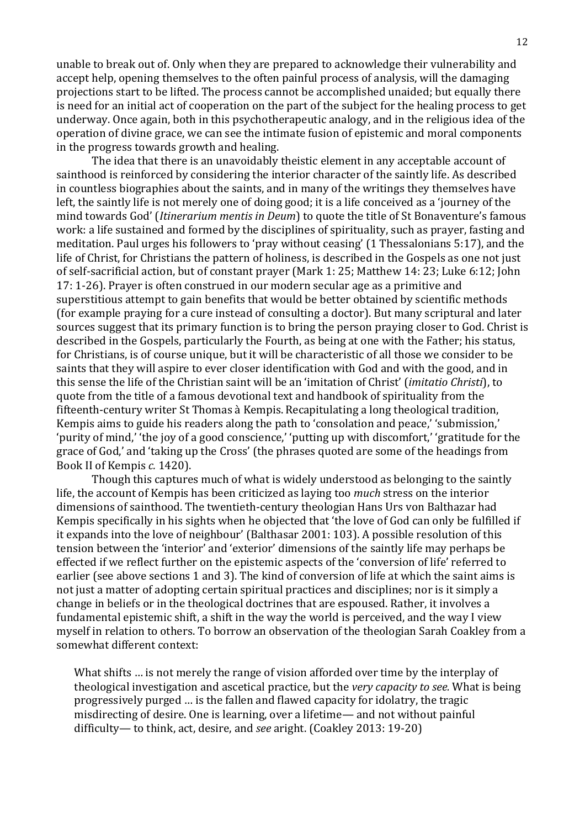unable to break out of. Only when they are prepared to acknowledge their vulnerability and accept help, opening themselves to the often painful process of analysis, will the damaging projections start to be lifted. The process cannot be accomplished unaided; but equally there is need for an initial act of cooperation on the part of the subject for the healing process to get underway. Once again, both in this psychotherapeutic analogy, and in the religious idea of the operation of divine grace, we can see the intimate fusion of epistemic and moral components in the progress towards growth and healing.

The idea that there is an unavoidably theistic element in any acceptable account of sainthood is reinforced by considering the interior character of the saintly life. As described in countless biographies about the saints, and in many of the writings they themselves have left, the saintly life is not merely one of doing good; it is a life conceived as a 'journey of the mind towards God' (*Itinerarium mentis in Deum*) to quote the title of St Bonaventure's famous work: a life sustained and formed by the disciplines of spirituality, such as prayer, fasting and meditation. Paul urges his followers to 'pray without ceasing' (1 Thessalonians 5:17), and the life of Christ, for Christians the pattern of holiness, is described in the Gospels as one not just of self-sacrificial action, but of constant prayer (Mark 1: 25; Matthew 14: 23; Luke 6:12; John 17: 1-26). Prayer is often construed in our modern secular age as a primitive and superstitious attempt to gain benefits that would be better obtained by scientific methods (for example praying for a cure instead of consulting a doctor). But many scriptural and later sources suggest that its primary function is to bring the person praying closer to God. Christ is described in the Gospels, particularly the Fourth, as being at one with the Father; his status, for Christians, is of course unique, but it will be characteristic of all those we consider to be saints that they will aspire to ever closer identification with God and with the good, and in this sense the life of the Christian saint will be an 'imitation of Christ' (*imitatio Christi*), to quote from the title of a famous devotional text and handbook of spirituality from the fifteenth-century writer St Thomas à Kempis. Recapitulating a long theological tradition, Kempis aims to guide his readers along the path to 'consolation and peace,' 'submission,' 'purity of mind,' 'the joy of a good conscience,' 'putting up with discomfort,' 'gratitude for the grace of God,' and 'taking up the Cross' (the phrases quoted are some of the headings from Book II of Kempis *c.* 1420).

Though this captures much of what is widely understood as belonging to the saintly life, the account of Kempis has been criticized as laying too *much* stress on the interior dimensions of sainthood. The twentieth-century theologian Hans Urs von Balthazar had Kempis specifically in his sights when he objected that 'the love of God can only be fulfilled if it expands into the love of neighbour' (Balthasar 2001: 103). A possible resolution of this tension between the 'interior' and 'exterior' dimensions of the saintly life may perhaps be effected if we reflect further on the epistemic aspects of the 'conversion of life' referred to earlier (see above sections 1 and 3). The kind of conversion of life at which the saint aims is not just a matter of adopting certain spiritual practices and disciplines; nor is it simply a change in beliefs or in the theological doctrines that are espoused. Rather, it involves a fundamental epistemic shift, a shift in the way the world is perceived, and the way I view myself in relation to others. To borrow an observation of the theologian Sarah Coakley from a somewhat different context:

What shifts ... is not merely the range of vision afforded over time by the interplay of theological investigation and ascetical practice, but the *very capacity to see*. What is being progressively purged ... is the fallen and flawed capacity for idolatry, the tragic misdirecting of desire. One is learning, over a lifetime— and not without painful difficulty— to think, act, desire, and *see* aright. (Coakley 2013: 19-20)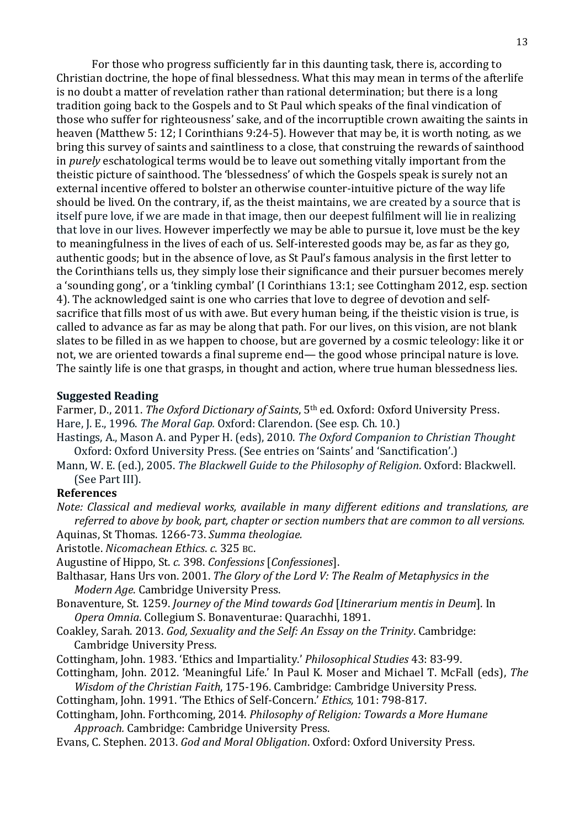For those who progress sufficiently far in this daunting task, there is, according to Christian doctrine, the hope of final blessedness. What this may mean in terms of the afterlife is no doubt a matter of revelation rather than rational determination; but there is a long tradition going back to the Gospels and to St Paul which speaks of the final vindication of those who suffer for righteousness' sake, and of the incorruptible crown awaiting the saints in heaven (Matthew 5: 12; I Corinthians 9:24-5). However that may be, it is worth noting, as we bring this survey of saints and saintliness to a close, that construing the rewards of sainthood in *purely* eschatological terms would be to leave out something vitally important from the theistic picture of sainthood. The 'blessedness' of which the Gospels speak is surely not an external incentive offered to bolster an otherwise counter-intuitive picture of the way life should be lived. On the contrary, if, as the theist maintains, we are created by a source that is itself pure love, if we are made in that image, then our deepest fulfilment will lie in realizing that love in our lives. However imperfectly we may be able to pursue it, love must be the key to meaningfulness in the lives of each of us. Self-interested goods may be, as far as they go, authentic goods; but in the absence of love, as St Paul's famous analysis in the first letter to the Corinthians tells us, they simply lose their significance and their pursuer becomes merely a 'sounding gong', or a 'tinkling cymbal' (I Corinthians 13:1; see Cottingham 2012, esp. section 4). The acknowledged saint is one who carries that love to degree of devotion and selfsacrifice that fills most of us with awe. But every human being, if the theistic vision is true, is called to advance as far as may be along that path. For our lives, on this vision, are not blank slates to be filled in as we happen to choose, but are governed by a cosmic teleology; like it or not, we are oriented towards a final supreme end— the good whose principal nature is love. The saintly life is one that grasps, in thought and action, where true human blessedness lies.

### **Suggested Reading**

Farmer, D., 2011. *The Oxford Dictionary of Saints*, 5<sup>th</sup> ed. Oxford: Oxford University Press. Hare, J. E., 1996. *The Moral Gap.* Oxford: Clarendon. (See esp. Ch. 10.)

Hastings, A., Mason A. and Pyper H. (eds), 2010. *The Oxford Companion to Christian Thought* Oxford: Oxford University Press. (See entries on 'Saints' and 'Sanctification'.)

Mann, W. E. (ed.), 2005. *The Blackwell Guide to the Philosophy of Religion*. Oxford: Blackwell. (See Part III).

### **References**

*Note: Classical and medieval works, available in many different editions and translations, are referred to above by book, part, chapter or section numbers that are common to all versions.* Aquinas, St Thomas. 1266-73. *Summa theologiae.* 

Aristotle. *Nicomachean Ethics*. *c*. 325 BC.

Augustine of Hippo, St. *c.* 398. *Confessions* [*Confessiones*].

- Balthasar, Hans Urs von. 2001. *The Glory of the Lord V: The Realm of Metaphysics in the Modern Age.* Cambridge University Press.
- Bonaventure, St. 1259. *Journey of the Mind towards God [Itinerarium mentis in Deum]*. In *Opera Omnia*. Collegium S. Bonaventurae: Quarachhi, 1891.
- Coakley, Sarah. 2013. *God, Sexuality and the Self: An Essay on the Trinity*. Cambridge: Cambridge University Press.
- Cottingham, John. 1983. 'Ethics and Impartiality.' *Philosophical Studies* 43: 83-99.
- Cottingham, John. 2012. 'Meaningful Life.' In Paul K. Moser and Michael T. McFall (eds), The *Wisdom of the Christian Faith,* 175-196. Cambridge: Cambridge University Press.

Cottingham, John. 1991. 'The Ethics of Self-Concern.' *Ethics*, 101: 798-817.

- Cottingham, John. Forthcoming, 2014. *Philosophy of Religion: Towards a More Humane Approach.* Cambridge: Cambridge University Press.
- Evans, C. Stephen. 2013. *God and Moral Obligation*. Oxford: Oxford University Press.